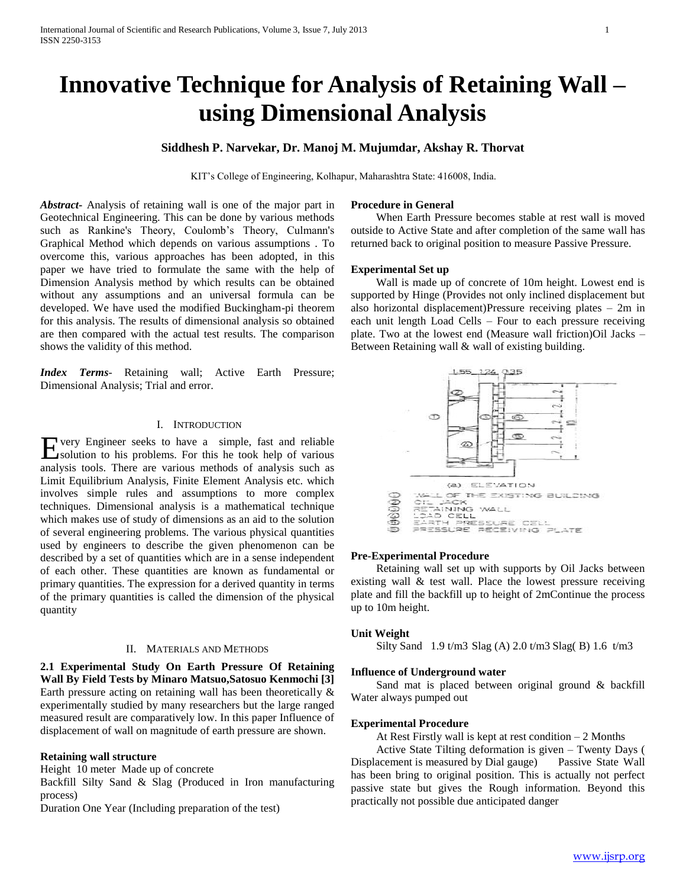# **Innovative Technique for Analysis of Retaining Wall – using Dimensional Analysis**

## **Siddhesh P. Narvekar, Dr. Manoj M. Mujumdar, Akshay R. Thorvat**

KIT"s College of Engineering, Kolhapur, Maharashtra State: 416008, India.

*Abstract***-** Analysis of retaining wall is one of the major part in Geotechnical Engineering. This can be done by various methods such as Rankine's Theory, Coulomb's Theory, Culmann's Graphical Method which depends on various assumptions . To overcome this, various approaches has been adopted, in this paper we have tried to formulate the same with the help of Dimension Analysis method by which results can be obtained without any assumptions and an universal formula can be developed. We have used the modified Buckingham-pi theorem for this analysis. The results of dimensional analysis so obtained are then compared with the actual test results. The comparison shows the validity of this method.

*Index Terms*- Retaining wall; Active Earth Pressure; Dimensional Analysis; Trial and error.

## I. INTRODUCTION

very Engineer seeks to have a simple, fast and reliable Every Engineer seeks to have a simple, fast and reliable<br>
solution to his problems. For this he took help of various analysis tools. There are various methods of analysis such as Limit Equilibrium Analysis, Finite Element Analysis etc. which involves simple rules and assumptions to more complex techniques. Dimensional analysis is a mathematical technique which makes use of study of dimensions as an aid to the solution of several engineering problems. The various physical quantities used by engineers to describe the given phenomenon can be described by a set of quantities which are in a sense independent of each other. These quantities are known as fundamental or primary quantities. The expression for a derived quantity in terms of the primary quantities is called the dimension of the physical quantity

## II. MATERIALS AND METHODS

**2.1 Experimental Study On Earth Pressure Of Retaining Wall By Field Tests by Minaro Matsuo,Satosuo Kenmochi [3]** Earth pressure acting on retaining wall has been theoretically & experimentally studied by many researchers but the large ranged measured result are comparatively low. In this paper Influence of displacement of wall on magnitude of earth pressure are shown.

#### **Retaining wall structure**

Height 10 meter Made up of concrete

Backfill Silty Sand & Slag (Produced in Iron manufacturing process)

Duration One Year (Including preparation of the test)

#### **Procedure in General**

 When Earth Pressure becomes stable at rest wall is moved outside to Active State and after completion of the same wall has returned back to original position to measure Passive Pressure.

#### **Experimental Set up**

 Wall is made up of concrete of 10m height. Lowest end is supported by Hinge (Provides not only inclined displacement but also horizontal displacement)Pressure receiving plates – 2m in each unit length Load Cells – Four to each pressure receiving plate. Two at the lowest end (Measure wall friction)Oil Jacks – Between Retaining wall & wall of existing building.



#### **Pre-Experimental Procedure**

 Retaining wall set up with supports by Oil Jacks between existing wall & test wall. Place the lowest pressure receiving plate and fill the backfill up to height of 2mContinue the process up to 10m height.

#### **Unit Weight**

Silty Sand 1.9 t/m3 Slag (A) 2.0 t/m3 Slag( B) 1.6 t/m3

#### **Influence of Underground water**

 Sand mat is placed between original ground & backfill Water always pumped out

#### **Experimental Procedure**

At Rest Firstly wall is kept at rest condition – 2 Months

 Active State Tilting deformation is given – Twenty Days ( Displacement is measured by Dial gauge) Passive State Wall has been bring to original position. This is actually not perfect passive state but gives the Rough information. Beyond this practically not possible due anticipated danger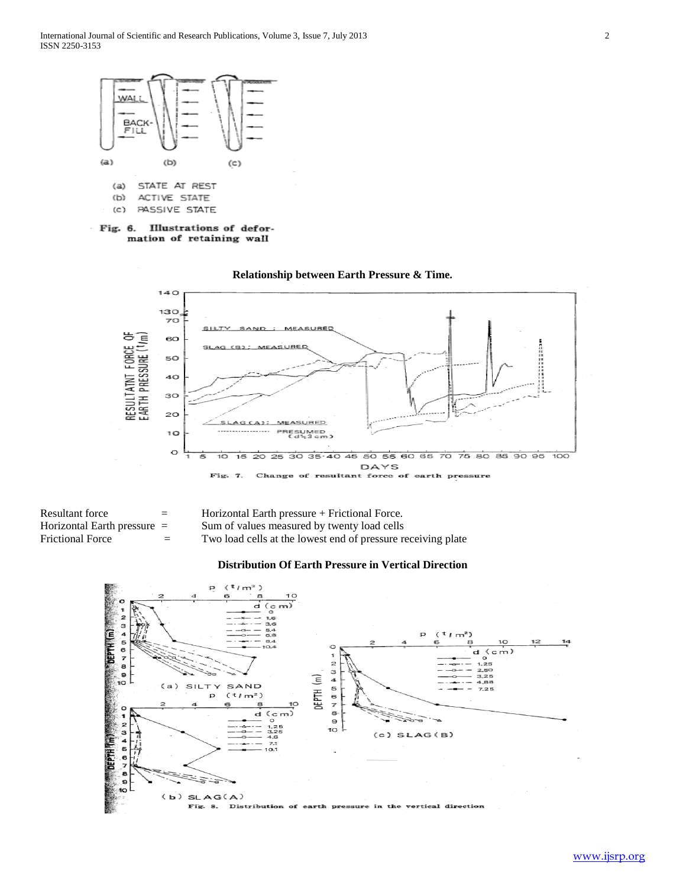

Illustrations of defor-Fig. 6. mation of retaining wall



| Resultant force               | $=$ | Horizontal Earth pressure $+$ Frictional Force.              |
|-------------------------------|-----|--------------------------------------------------------------|
| Horizontal Earth pressure $=$ |     | Sum of values measured by twenty load cells                  |
| Frictional Force              | $=$ | Two load cells at the lowest end of pressure receiving plate |

## **Distribution Of Earth Pressure in Vertical Direction**

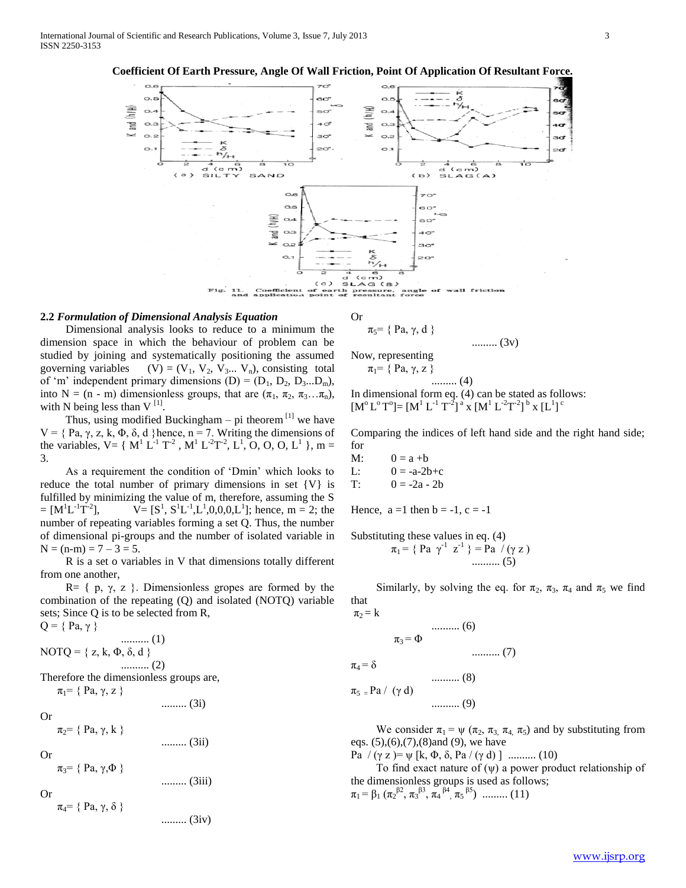

## **2.2** *Formulation of Dimensional Analysis Equation*

 Dimensional analysis looks to reduce to a minimum the dimension space in which the behaviour of problem can be studied by joining and systematically positioning the assumed governing variables  $(V) = (V_1, V_2, V_3... V_n)$ , consisting total of 'm' independent primary dimensions  $(D) = (D_1, D_2, D_3...D_m)$ , into N = (n - m) dimensionless groups, that are  $(\pi_1, \pi_2, \pi_3...\pi_n)$ , with N being less than  $V^{[1]}$ .

Thus, using modified Buckingham – pi theorem  $\left[1\right]$  we have V = {Pa, γ, z, k, Φ, δ, d}hence, n = 7. Writing the dimensions of the variables,  $V = \{ M^1 L^{1} T^{2}$ ,  $M^1 L^{2} T^{2}$ ,  $L^1$ , O, O, O, L<sup>1</sup> }, m = 3.

 As a requirement the condition of "Dmin" which looks to reduce the total number of primary dimensions in set {V} is fulfilled by minimizing the value of m, therefore, assuming the S  $= [M^{1}L^{-1}T^{-2}]$ ],  $V = [S^1, S^1L^{-1}, L^1, 0, 0, 0, L^1]$ ; hence, m = 2; the number of repeating variables forming a set Q. Thus, the number of dimensional pi-groups and the number of isolated variable in  $N = (n-m) = 7 - 3 = 5.$ 

 R is a set o variables in V that dimensions totally different from one another,

R=  $\{ p, \gamma, z \}$ . Dimensionless gropes are formed by the combination of the repeating (Q) and isolated (NOTQ) variable sets; Since Q is to be selected from R,

 $Q = \{ Pa, \gamma \}$ .......... (1) NOTQ = { $z, k, \Phi, \delta, d$  } .......... (2)

Therefore the dimensionless groups are,  $\pi_1$ = { Pa,  $\gamma$ , z }

......... (3i)

......... (3iv)

 $\pi_2$ = { Pa,  $\gamma$ , k }

......... (3ii)

 $\pi_3$ = { Pa,  $\gamma$ , $\Phi$ } ......... (3iii)

Or

Or

Or

 $\pi_4 = \{ Pa, \gamma, \delta \}$ 

Or

$$
\pi_5 = \{ Pa, \gamma, d \}
$$
 ......... (3v)

Now, representing  $\pi_1$ = { Pa,  $\gamma$ , z }

......... (4) In dimensional form eq. (4) can be stated as follows:

 $[M^{\circ}L^{\circ}T^{\circ}]=[M^{1} L^{-1} T^{-2}]^{a}$  x  $[M^{1} L^{-2} T^{-2}]^{b}$  x  $[L^{1}]^{c}$ 

Comparing the indices of left hand side and the right hand side; for

M:  $0 = a + b$ L:  $0 = -a-2b+c$ T:  $0 = -2a - 2b$ 

 $\pi_1$  =

Hence,  $a = 1$  then  $b = -1$ ,  $c = -1$ 

Substituting these values in eq. (4)<br> $= 5 \cdot 10^{24} \cdot 5^{11} = 20 \cdot 10^{11}$ 

$$
= \{ Pa \gamma^{-1} z^{-1} \} = Pa / (\gamma z)
$$
  
........ (5)

Similarly, by solving the eq. for  $\pi_2$ ,  $\pi_3$ ,  $\pi_4$  and  $\pi_5$  we find that

$$
\pi_2 = k
$$
 ......... (6)  
\n
$$
\pi_3 = \Phi
$$
 ......... (7)  
\n
$$
\pi_4 = \delta
$$
 ......... (8)  
\n
$$
\pi_5 = Pa / (\gamma d)
$$
 ......... (9)

We consider  $\pi_1 = \psi(\pi_2, \pi_3, \pi_4, \pi_5)$  and by substituting from eqs. (5),(6),(7),(8)and (9), we have

Pa  $/( \gamma z ) = \psi [k, \Phi, \delta, Pa / (\gamma d) ]$  .......... (10)

To find exact nature of  $(\psi)$  a power product relationship of the dimensionless groups is used as follows;

 $\pi_1 = \beta_1 \left( \pi_2^{ \beta_2}, \pi_3^{ \beta_3}, \pi_4^{ \beta_4}, \pi_5^{ \beta_5} \right)$  ......... (11)

www.ijsrp.org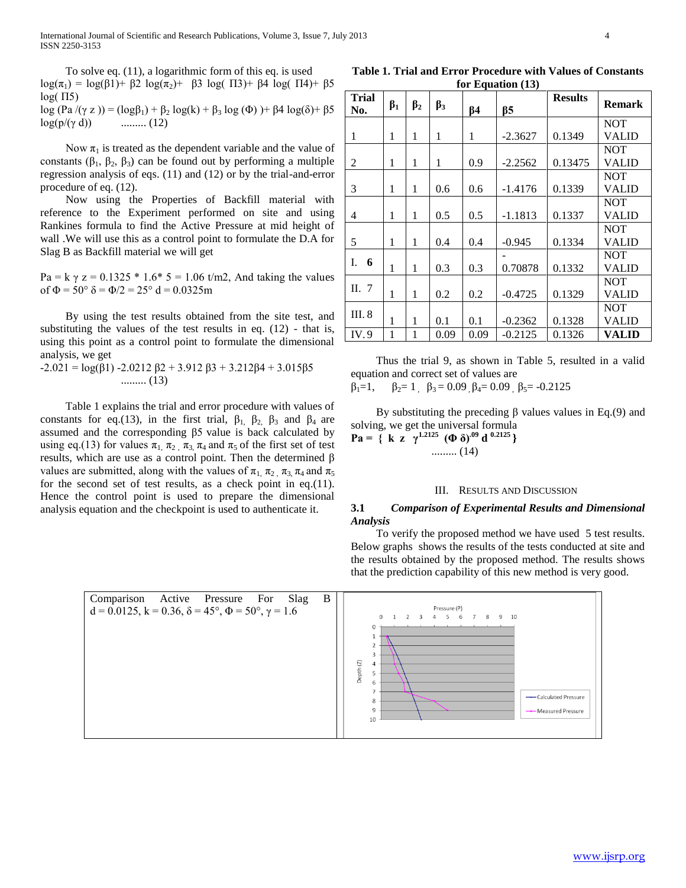International Journal of Scientific and Research Publications, Volume 3, Issue 7, July 2013 4 ISSN 2250-3153

 To solve eq. (11), a logarithmic form of this eq. is used log(π<sub>1</sub>) = log(β1)+ β2 log(π<sub>2</sub>)+ β3 log( Π3)+ β4 log( Π4)+ β5  $log( \Pi 5)$ 

log (Pa  $/(\gamma z)$ ) = (log $\beta_1$ ) +  $\beta_2$  log(k) +  $\beta_3$  log (Φ) )+  $\beta$ 4 log(δ)+  $\beta$ 5  $log(p/(y d))$  .......... (12)

Now  $\pi_1$  is treated as the dependent variable and the value of constants  $(\beta_1, \beta_2, \beta_3)$  can be found out by performing a multiple regression analysis of eqs. (11) and (12) or by the trial-and-error procedure of eq. (12).

 Now using the Properties of Backfill material with reference to the Experiment performed on site and using Rankines formula to find the Active Pressure at mid height of wall .We will use this as a control point to formulate the D.A for Slag B as Backfill material we will get

Pa = k  $\gamma$  z = 0.1325  $*$  1.6 $*$  5 = 1.06 t/m2, And taking the values of  $\Phi = 50^{\circ} \delta = \Phi/2 = 25^{\circ} d = 0.0325m$ 

 By using the test results obtained from the site test, and substituting the values of the test results in eq.  $(12)$  - that is, using this point as a control point to formulate the dimensional analysis, we get

 $-2.021 = \log(\beta_1) - 2.0212 \beta_2 + 3.912 \beta_3 + 3.212 \beta_4 + 3.015 \beta_5$ ......... (13)

 Table 1 explains the trial and error procedure with values of constants for eq.(13), in the first trial,  $\beta_1$ ,  $\beta_2$ ,  $\beta_3$  and  $\beta_4$  are assumed and the corresponding β5 value is back calculated by using eq.(13) for values  $\pi_1$ ,  $\pi_2$ ,  $\pi_3$ ,  $\pi_4$  and  $\pi_5$  of the first set of test results, which are use as a control point. Then the determined β values are submitted, along with the values of  $\pi_1$ ,  $\pi_2$ ,  $\pi_3$ ,  $\pi_4$  and  $\pi_5$ for the second set of test results, as a check point in eq.(11). Hence the control point is used to prepare the dimensional analysis equation and the checkpoint is used to authenticate it.

**Table 1. Trial and Error Procedure with Values of Constants for Equation (13)**

| Trial<br>No. | $\beta_1$ | $\beta_2$ | $\beta_3$ | $\beta$ 4 | $\beta$ 5 | <b>Results</b> | <b>Remark</b> |
|--------------|-----------|-----------|-----------|-----------|-----------|----------------|---------------|
|              |           |           |           |           |           |                | <b>NOT</b>    |
| 1            | 1         | 1         | 1         | 1         | $-2.3627$ | 0.1349         | <b>VALID</b>  |
|              |           |           |           |           |           |                | <b>NOT</b>    |
| 2            | 1         | 1         | 1         | 0.9       | $-2.2562$ | 0.13475        | <b>VALID</b>  |
|              |           |           |           |           |           |                | <b>NOT</b>    |
| 3            | 1         | 1         | 0.6       | 0.6       | $-1.4176$ | 0.1339         | <b>VALID</b>  |
|              |           |           |           |           |           |                | <b>NOT</b>    |
| 4            | 1         | 1         | 0.5       | 0.5       | $-1.1813$ | 0.1337         | <b>VALID</b>  |
|              |           |           |           |           |           |                | NOT           |
| 5            | 1         | 1         | 0.4       | 0.4       | $-0.945$  | 0.1334         | <b>VALID</b>  |
| Ī.           |           |           |           |           |           |                | <b>NOT</b>    |
| 6            | 1         | 1         | 0.3       | 0.3       | 0.70878   | 0.1332         | <b>VALID</b>  |
| II.7         |           |           |           |           |           |                | <b>NOT</b>    |
|              | 1         | 1         | 0.2       | 0.2       | $-0.4725$ | 0.1329         | <b>VALID</b>  |
| III. 8       |           |           |           |           |           |                | NOT           |
|              | 1         | 1         | 0.1       | 0.1       | $-0.2362$ | 0.1328         | <b>VALID</b>  |
| IV.9         | 1         | 1         | 0.09      | 0.09      | $-0.2125$ | 0.1326         | VALID         |

 Thus the trial 9, as shown in Table 5, resulted in a valid equation and correct set of values are

 $\beta_1=1$ ,  $\beta_2=1$ ,  $\beta_3=0.09$ ,  $\beta_4=0.09$ ,  $\beta_5=0.2125$ 

By substituting the preceding β values values in Eq.(9) and solving, we get the universal formula **Pa** = { **k z**  $\gamma^{1.2125}$  (**Φ** δ)<sup>.09</sup> **d** <sup>0.2125</sup> } ......... (14)

#### III. RESULTS AND DISCUSSION

#### **3.1** *Comparison of Experimental Results and Dimensional Analysis*

 To verify the proposed method we have used 5 test results. Below graphs shows the results of the tests conducted at site and the results obtained by the proposed method. The results shows that the prediction capability of this new method is very good.

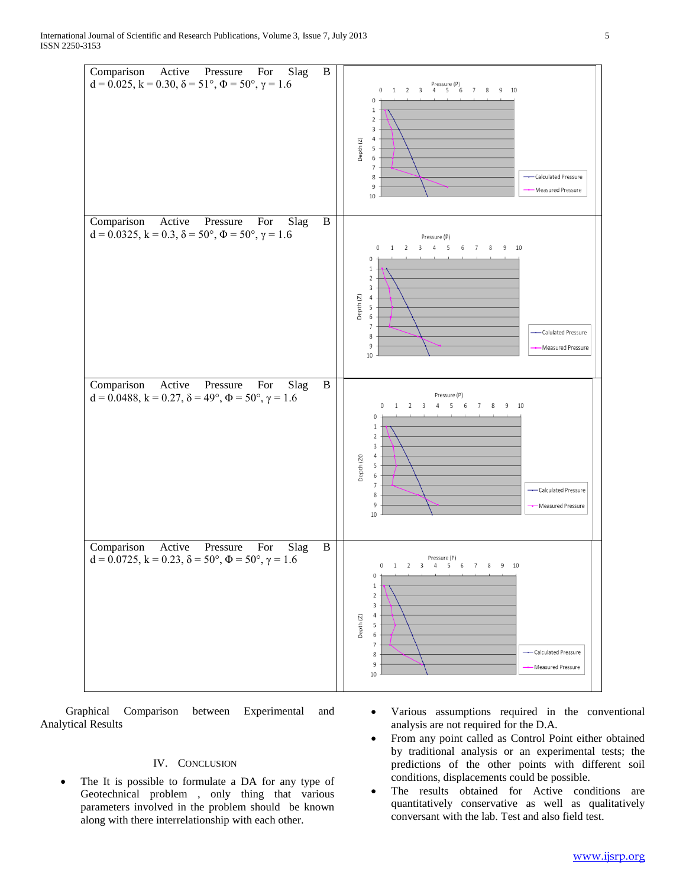International Journal of Scientific and Research Publications, Volume 3, Issue 7, July 2013 5 ISSN 2250-3153



 Graphical Comparison between Experimental and Analytical Results

### IV. CONCLUSION

- The It is possible to formulate a DA for any type of Geotechnical problem , only thing that various parameters involved in the problem should be known along with there interrelationship with each other.
- Various assumptions required in the conventional analysis are not required for the D.A.
- From any point called as Control Point either obtained by traditional analysis or an experimental tests; the predictions of the other points with different soil conditions, displacements could be possible.
- The results obtained for Active conditions are quantitatively conservative as well as qualitatively conversant with the lab. Test and also field test.